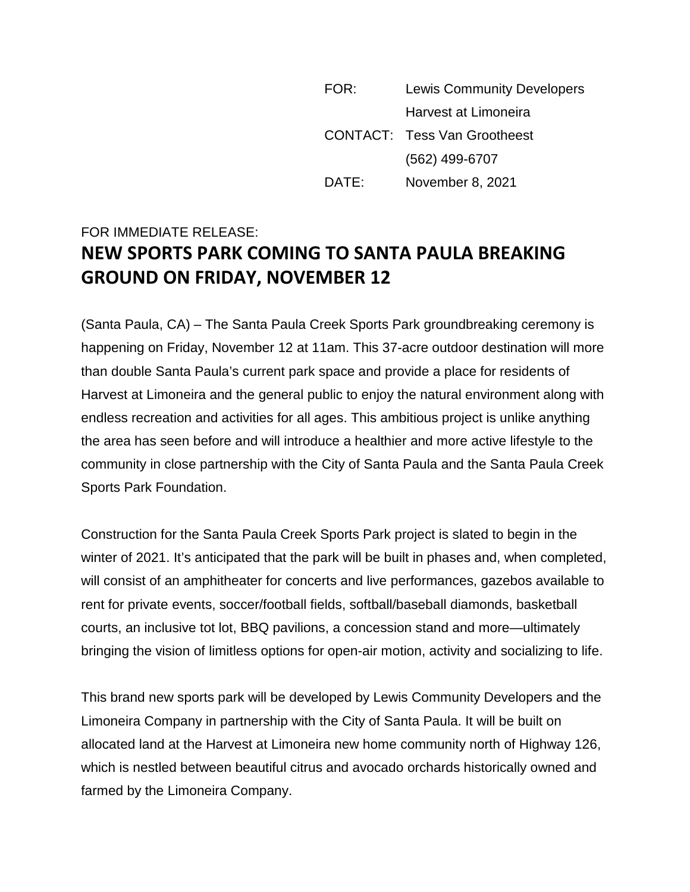FOR: Lewis Community Developers Harvest at Limoneira CONTACT: Tess Van Grootheest (562) 499-6707 DATE: November 8, 2021

## FOR IMMEDIATE RELEASE: **NEW SPORTS PARK COMING TO SANTA PAULA BREAKING GROUND ON FRIDAY, NOVEMBER 12**

(Santa Paula, CA) – The Santa Paula Creek Sports Park groundbreaking ceremony is happening on Friday, November 12 at 11am. This 37-acre outdoor destination will more than double Santa Paula's current park space and provide a place for residents of Harvest at Limoneira and the general public to enjoy the natural environment along with endless recreation and activities for all ages. This ambitious project is unlike anything the area has seen before and will introduce a healthier and more active lifestyle to the community in close partnership with the City of Santa Paula and the Santa Paula Creek Sports Park Foundation.

Construction for the Santa Paula Creek Sports Park project is slated to begin in the winter of 2021. It's anticipated that the park will be built in phases and, when completed, will consist of an amphitheater for concerts and live performances, gazebos available to rent for private events, soccer/football fields, softball/baseball diamonds, basketball courts, an inclusive tot lot, BBQ pavilions, a concession stand and more—ultimately bringing the vision of limitless options for open-air motion, activity and socializing to life.

This brand new sports park will be developed by Lewis Community Developers and the Limoneira Company in partnership with the City of Santa Paula. It will be built on allocated land at the Harvest at Limoneira new home community north of Highway 126, which is nestled between beautiful citrus and avocado orchards historically owned and farmed by the Limoneira Company.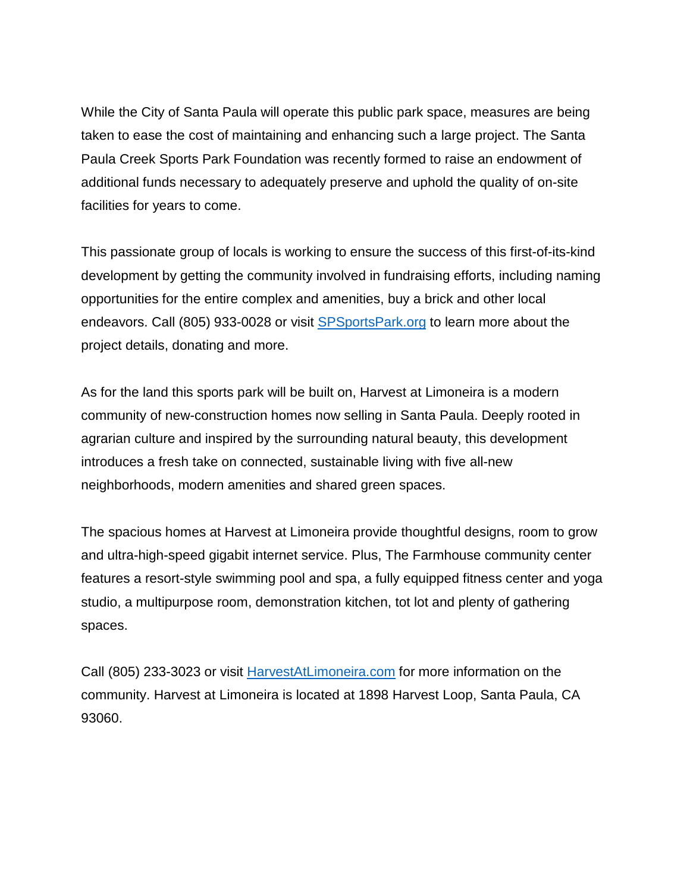While the City of Santa Paula will operate this public park space, measures are being taken to ease the cost of maintaining and enhancing such a large project. The Santa Paula Creek Sports Park Foundation was recently formed to raise an endowment of additional funds necessary to adequately preserve and uphold the quality of on-site facilities for years to come.

This passionate group of locals is working to ensure the success of this first-of-its-kind development by getting the community involved in fundraising efforts, including naming opportunities for the entire complex and amenities, buy a brick and other local endeavors. Call (805) 933-0028 or visit [SPSportsPark.org](https://www.spsportspark.org/) to learn more about the project details, donating and more.

As for the land this sports park will be built on, Harvest at Limoneira is a modern community of new-construction homes now selling in Santa Paula. Deeply rooted in agrarian culture and inspired by the surrounding natural beauty, this development introduces a fresh take on connected, sustainable living with five all-new neighborhoods, modern amenities and shared green spaces.

The spacious homes at Harvest at Limoneira provide thoughtful designs, room to grow and ultra-high-speed gigabit internet service. Plus, The Farmhouse community center features a resort-style swimming pool and spa, a fully equipped fitness center and yoga studio, a multipurpose room, demonstration kitchen, tot lot and plenty of gathering spaces.

Call (805) 233-3023 or visit [HarvestAtLimoneira.com](https://harvestatlimoneira.com/) for more information on the community. Harvest at Limoneira is located at 1898 Harvest Loop, Santa Paula, CA 93060.